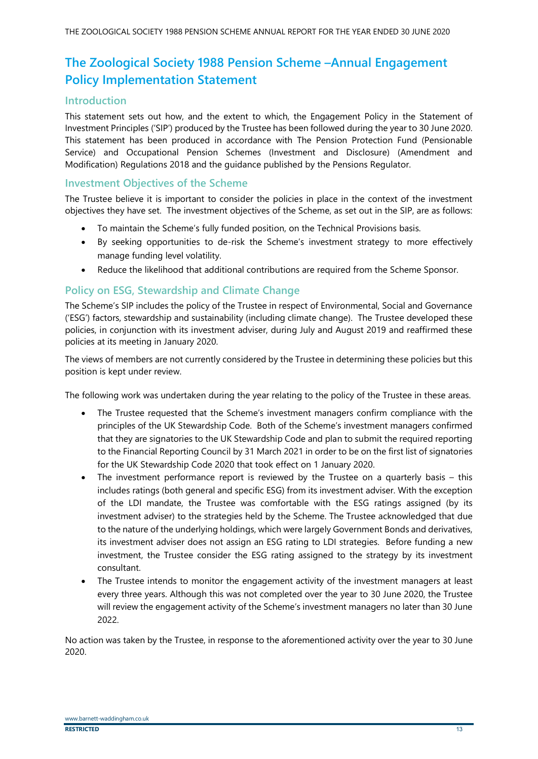## **The Zoological Society 1988 Pension Scheme –Annual Engagement Policy Implementation Statement**

#### **Introduction**

This statement sets out how, and the extent to which, the Engagement Policy in the Statement of Investment Principles ('SIP') produced by the Trustee has been followed during the year to 30 June 2020. This statement has been produced in accordance with The Pension Protection Fund (Pensionable Service) and Occupational Pension Schemes (Investment and Disclosure) (Amendment and Modification) Regulations 2018 and the guidance published by the Pensions Regulator.

#### **Investment Objectives of the Scheme**

The Trustee believe it is important to consider the policies in place in the context of the investment objectives they have set. The investment objectives of the Scheme, as set out in the SIP, are as follows:

- To maintain the Scheme's fully funded position, on the Technical Provisions basis.
- By seeking opportunities to de-risk the Scheme's investment strategy to more effectively manage funding level volatility.
- Reduce the likelihood that additional contributions are required from the Scheme Sponsor.

### **Policy on ESG, Stewardship and Climate Change**

The Scheme's SIP includes the policy of the Trustee in respect of Environmental, Social and Governance ('ESG') factors, stewardship and sustainability (including climate change). The Trustee developed these policies, in conjunction with its investment adviser, during July and August 2019 and reaffirmed these policies at its meeting in January 2020.

The views of members are not currently considered by the Trustee in determining these policies but this position is kept under review.

The following work was undertaken during the year relating to the policy of the Trustee in these areas.

- The Trustee requested that the Scheme's investment managers confirm compliance with the principles of the UK Stewardship Code. Both of the Scheme's investment managers confirmed that they are signatories to the UK Stewardship Code and plan to submit the required reporting to the Financial Reporting Council by 31 March 2021 in order to be on the first list of signatories for the UK Stewardship Code 2020 that took effect on 1 January 2020.
- The investment performance report is reviewed by the Trustee on a quarterly basis this includes ratings (both general and specific ESG) from its investment adviser. With the exception of the LDI mandate, the Trustee was comfortable with the ESG ratings assigned (by its investment adviser) to the strategies held by the Scheme. The Trustee acknowledged that due to the nature of the underlying holdings, which were largely Government Bonds and derivatives, its investment adviser does not assign an ESG rating to LDI strategies. Before funding a new investment, the Trustee consider the ESG rating assigned to the strategy by its investment consultant.
- The Trustee intends to monitor the engagement activity of the investment managers at least every three years. Although this was not completed over the year to 30 June 2020, the Trustee will review the engagement activity of the Scheme's investment managers no later than 30 June 2022.

No action was taken by the Trustee, in response to the aforementioned activity over the year to 30 June 2020.